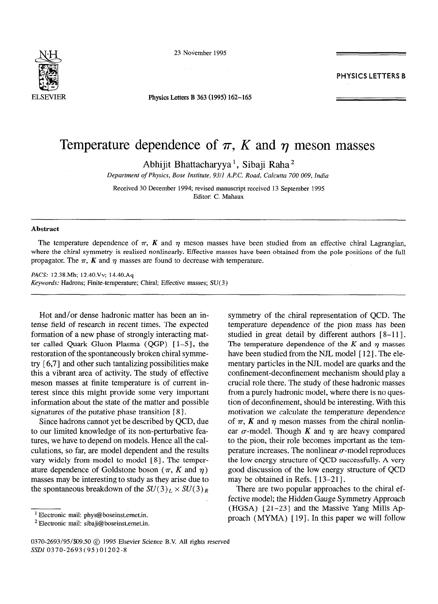

23 November 1995

ELSEVIER **Physics Letters B 363 (1995) 162-165** 

**PHYSICS LETTERS B** 

## Temperature dependence of  $\pi$ , K and  $\eta$  meson masses

Abhijit Bhattacharyya<sup>1</sup>, Sibaji Raha<sup>2</sup>

*Department of Physics, Bose Institute, 9311 A.P.C. Road, Calcutta 700 009, India* 

Received 30 December 1994; revised manuscript received 13 September 1995 Editor: C. Mahaux

## **Abstract**

The temperature dependence of  $\pi$ ,  $K$  and  $\eta$  meson masses have been studied from an effective chiral Lagrangian, where the chiral symmetry is realised nonlinearly. Effective masses have been obtained from the pole positions of the full propagator. The  $\pi$ , *K* and  $\eta$  masses are found to decrease with temperature.

*PACS:* 12.38.Mh; 12.40.Vv; 14.40.Aq *Keywords: Hadrons; Finite-temperature; Chiral; Effective masses; SU(3)* 

Hot and/or dense hadronic matter has been an intense field of research in recent times. The expected formation of a new phase of strongly interacting matter called Quark Gluon Plasma (QGP) [1-5], the restoration of the spontaneously broken chiral symmetry [ **6,7]** and other such tantalizing possibilities make this a vibrant area of activity. The study of effective meson masses at finite temperature is of current interest since this might provide some very important information about the state of the matter and possible signatures of the putative phase transition [8].

Since hadrons cannot yet be described by QCD, due to our limited knowledge of its non-perturbative features, we have to depend on models. Hence all the calculations, so far, are model dependent and the results vary widely from model to model [8]. The temperature dependence of Goldstone boson ( $\pi$ , *K* and  $\eta$ ) masses may be interesting to study as they arise due to the spontaneous breakdown of the  $SU(3)_L \times SU(3)_R$  symmetry of the chiral representation of QCD. The temperature dependence of the pion mass has been studied in great detail by different authors [8-11]. The temperature dependence of the  $K$  and  $\eta$  masses have been studied from the NJL model [12]. The elementary particles in the NJL model are quarks and the confinement-deconfinement mechanism should play a crucial role there. The study of these hadronic masses from a purely hadronic model, where there is no question of deconfinement, should be interesting. With this motivation we calculate the temperature dependence of  $\pi$ , K and  $\eta$  meson masses from the chiral nonlinear  $\sigma$ -model. Though *K* and  $\eta$  are heavy compared to the pion, their role becomes important as the temperature increases. The nonlinear  $\sigma$ -model reproduces the low energy structure of QCD successfully. A very good discussion of the low energy structure of QCD may be obtained in Refs. [13-21].

There are two popular approaches to the chiral effective model; the Hidden Gauge Symmetry Approach (HGSA) [ 21-231 and the Massive Yang Mills Approach  $(MYMA)$  [19]. In this paper we will follow

<sup>&#</sup>x27; Electronic mail: phys@boseinst.emet.in.

 $2$  Electronic mail: sibaji@boseinst.emet.in.

<sup>0370-2693/95/\$09.50 @ 1995</sup> Elsevier Science B.V. All rights reserved SSDI 0370-2693(95)01202-8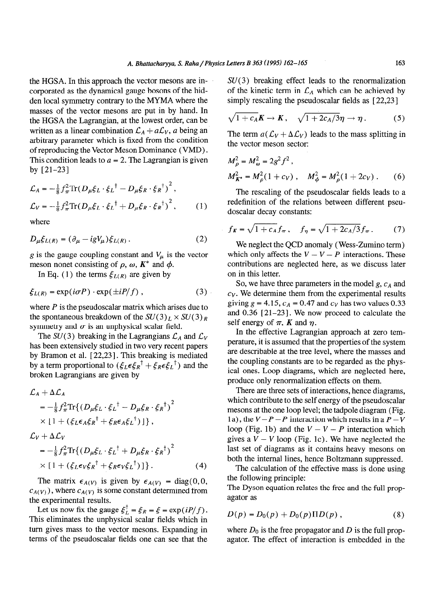the HGSA. In this approach the vector mesons are incorporated as the dynamical gauge bosons of the hidden local symmetry contrary to the MYMA where the masses of the vector mesons are put in by hand. In the HGSA the Lagrangian, at the lowest order, can be written as a linear combination  $\mathcal{L}_A + a\mathcal{L}_V$ , a being an arbitrary parameter which is fixed from the condition of reproducing the Vector Meson Dominance *(VMD)*. This condition leads to  $a = 2$ . The Lagrangian is given by  $\left[21-23\right]$  *x*<sup>2</sup> *x***<sup>2</sup> <b>***x*<sup>2</sup> *x***<sup>2</sup>** *x***<sup>2</sup>** *x***<sup>2</sup>** 

$$
\mathcal{L}_A = -\frac{1}{8} f_\pi^2 \text{Tr} (D_\mu \xi_L \cdot \xi_L^\dagger - D_\mu \xi_R \cdot \xi_R^\dagger)^2 ,
$$
  
\n
$$
\mathcal{L}_V = -\frac{1}{8} f_\pi^2 \text{Tr} (D_\mu \xi_L \cdot \xi_L^\dagger + D_\mu \xi_R \cdot \xi_R^\dagger)^2 ,
$$
 (1)

where

$$
D_{\mu}\xi_{L(R)} = (\partial_{\mu} - igV_{\mu})\xi_{L(R)}.
$$
 (2)

*g* is the gauge coupling constant and  $V_\mu$  is the vector meson nonet consisting of  $\rho$ ,  $\omega$ ,  $K^*$  and  $\phi$ .

In Eq. (1) the terms  $\xi_{L(R)}$  are given by

$$
\xi_{L(R)} = \exp(i\sigma P) \cdot \exp(\pm iP/f) \,, \tag{3}
$$

where *P* is the pseudoscalar matrix which arises due to the spontaneous breakdown of the  $SU(3)_L \times SU(3)_R$ symmetry and  $\sigma$  is an unphysical scalar field.

The  $SU(3)$  breaking in the Lagrangians  $\mathcal{L}_A$  and  $\mathcal{L}_V$ has been extensively studied in two very recent papers by Bramon et al. [22,23]. This breaking is mediated by a term proportional to  $(\xi_L \epsilon \xi_R^{\dagger} + \xi_R \epsilon \xi_L^{\dagger})$  and the broken Lagrangians are given by

$$
\mathcal{L}_A + \Delta \mathcal{L}_A
$$
\n
$$
= -\frac{1}{8} f_\pi^2 \text{Tr} \{ (D_\mu \xi_L \cdot \xi_L^\dagger - D_\mu \xi_R \cdot \xi_R^\dagger)^2
$$
\n
$$
\times [1 + (\xi_L \epsilon_A \xi_R^\dagger + \xi_R \epsilon_A \xi_L^\dagger)] \},
$$
\n
$$
\mathcal{L}_V + \Delta \mathcal{L}_V
$$
\n
$$
= -\frac{1}{8} f_\pi^2 \text{Tr} \{ (D_\mu \xi_L \cdot \xi_L^\dagger + D_\mu \xi_R \cdot \xi_R^\dagger)^2
$$
\n
$$
\times [1 + (\xi_L \epsilon_V \xi_R^\dagger + \xi_R \epsilon_V \xi_L^\dagger)] \}. \tag{4}
$$

The matrix  $\epsilon_{A(V)}$  is given by  $\epsilon_{A(V)}$  = diag(0,0,  $c_{A(V)}$ ), where  $c_{A(V)}$  is some constant determined from the experimental results.

Let us now fix the gauge  $\xi_L^{\dagger} = \xi_R = \xi = \exp(iP/f)$ . This eliminates the unphysical scalar fields which in turn gives mass to the vector mesons. Expanding in terms of the pseudoscalar fields one can see that the  $SU(3)$  breaking effect leads to the renormalization of the kinetic term in  $\mathcal{L}_A$  which can be achieved by simply rescaling the pseudoscalar fields as [22,23]

$$
\sqrt{1+c_A}K \to K, \quad \sqrt{1+2c_A/3}\eta \to \eta. \tag{5}
$$

The term  $a(\mathcal{L}_V + \Delta \mathcal{L}_V)$  leads to the mass splitting in the vector meson sector:

$$
M_{\rho}^{2} = M_{\omega}^{2} = 2g^{2} f^{2},
$$
  
\n
$$
M_{K^{*}}^{2} = M_{\rho}^{2} (1 + c_{V}), \quad M_{\phi}^{2} = M_{\rho}^{2} (1 + 2c_{V}).
$$
 (6)

The rescaling of the pseudoscalar fields leads to a redefinition of the relations between different pseudoscalar decay constants:

$$
f_K = \sqrt{1 + c_A} f_\pi
$$
,  $f_\eta = \sqrt{1 + 2c_A/3} f_\pi$ . (7)

meson nonet consisting of  $\rho$ ,  $\omega$ ,  $K^*$  and  $\phi$ . contributions are neglected here, as we discuss later We neglect the QCD anomaly (Wess-Zuminot erm) which only affects the  $V - V - P$  interactions. These on in this letter.

> So, we have three parameters in the model  $g$ ,  $c_A$  and  $c_V$ . We determine them from the experimental results giving  $g = 4.15$ ,  $c_A = 0.47$  and  $c_V$  has two values 0.33 and 0.36 [21-23]. We now proceed to calculate the self energy of  $\pi$ , K and  $\eta$ .

> In the effective Lagrangian approach at zero temperature, it is assumed that the properties of the system are describable at the tree level, where the masses and the coupling constants are to be regarded as the physical ones. Loop diagrams, which are neglected here, produce only renormalization effects on them.

 $X \left\{ 1 + (\xi_L \epsilon_A \xi_R^T + \xi_R \epsilon_A \xi_L^T) \right\}$ ,  $X \left\{ 1 + (\xi_L \epsilon_A \xi_R^T + \xi_R \epsilon_A \xi_L^T) \right\}$ ,  $X \left\{ 1 + \xi_L \epsilon_A \xi_R^T + \xi_R \epsilon_A \xi_L^T \right\}$ There are three sets of interactions, hence diagrams, which contribute to the self energy of the pseudoscalar mesons at the one loop level; the tadpole diagram (Fig. 1a), the  $V-P-P$  interaction which results in a  $P-V$ gives a  $V - V$  loop (Fig. 1c). We have neglected the last set of diagrams as it contains heavy mesons on both the internal lines, hence Boltzmann suppressed.

> The calculation of the effective mass is done using the following principle:

> The Dyson equation relates the free and the full propagator as

$$
D(p) = D_0(p) + D_0(p) \Pi D(p) , \qquad (8)
$$

where  $D_0$  is the free propagator and  $D$  is the full propagator. The effect of interaction is embedded in the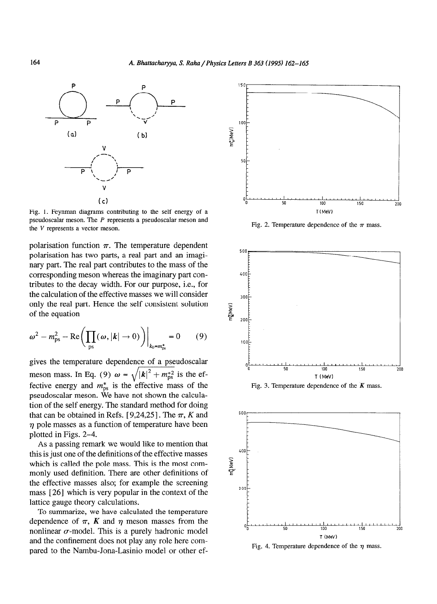

Fig. 1. Feynman diagrams contributing to the self energy of a pseudoscalar meson. The *P* represents a pseudoscalar meson and the *V* represents a vector meson.

polarisation function  $\pi$ . The temperature dependent polarisation has two parts, a real part and an imaginary part. The real part contributes to the mass of the corresponding meson whereas the imaginary part contributes to the decay width. For our purpose, i.e., for the calculation of the effective masses we will consider only the real part. Hence the self consistent solution of the equation

$$
\omega^2 - m_{\rm ps}^2 - \text{Re}\bigg(\prod_{\rm ps}(\omega, |\boldsymbol{k}| \to 0)\bigg)\bigg|_{k_0 = m_{\rm ps}^*} = 0 \qquad (9) \qquad \qquad \text{for } k \to \infty
$$

gives the temperature dependence of a pseudoscalar meson mass. In Eq. (9)  $\omega = \sqrt{|\mathbf{k}|^2 + m_{\text{ps}}^{*2}}$  is the effective energy and  $m_{\text{ps}}^*$  is the effective mass of the pseudoscalar meson. We have not shown the calculation of the self energy. The standard method for doing that can be obtained in Refs.  $[9,24,25]$ . The  $\pi$ , K and  $\eta$  pole masses as a function of temperature have been plotted in Figs. 2-4.

As a passing remark we would like to mention that this is just one of the definitions of the effective masses which is called the pole mass. This is the most commonly used definition. There are other definitions of the effective masses also; for example the screening mass [26] which is very popular in the context of the lattice gauge theory calculations.

To summarize, we have calculated the temperature dependence of  $\pi$ , *K* and  $\eta$  meson masses from the nonlinear  $\sigma$ -model. This is a purely hadronic model and the confinement does not play any role here compared to the Nambu-Jona-Lasinio model or other ef-



Fig. 2. Temperature dependence of the  $\pi$  mass.







Fig. 4. Temperature dependence of the  $\eta$  mass.